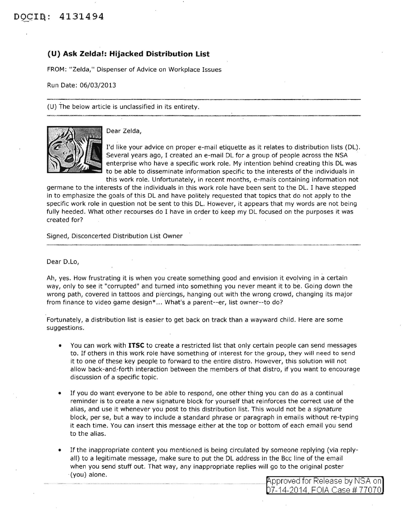## **(U) Ask Zelda!: Hijacked Distribution List**

FROM: "Zelda," Dispenser of Advice on Workplace Issues

Run Date: 06/03/2013

(U) The below article is unclassified in its entirety.



Dear Zelda,

I'd like your advice on proper e-mail etiquette as it relates to distribution lists (DL). Several years ago, I created an e-mail DL for a group of people across the NSA enterprise who have a specific work role. My intention behind creating this DL was to be able to disseminate information specific to the interests of the individuals in this work role. Unfortunately, in recent months, e-mails containing information not

germane to the interests of the individuals in this work role have been sent to the DL. I have stepped in to emphasize the goals of this DL and have politely requested that topics that do not apply to the specific work role in question not be sent to this DL. However, it appears that my words are not being fully heeded. What other recourses do I have in order to keep my DL focused on the purposes it was created for?

Signed, Disconcerted Distribution List Owner

Dear D.Lo,

Ah, yes. How frustrating it is when you create something good and envision it evolving in a certain way, only to see it "corrupted" and turned into something you never meant it to be. Going down the wrong path, covered in tattoos and piercings, hanging out with the wrong crowd, changing its major from finance to video game design\* ... What's a parent--er, list owner--to do?

Fortunately, a distribution list is easier to get back on track than a wayward child. Here are some suggestions.

- You can work with **ITSC** to create a restricted list that only certain people can send messages to. If others in this work role have something of interest for the group, they will need to send it to one of these key people to forward to the entire distro. However, this solution will not allow back-and~forth interaction between the members of that distro, if you want to encourage discussion of a specific topic.
- If you do want everyone to be able to respond, one other thing you can do as a continual reminder is to create a new signature block for yourself that reinforces the correct use of the alias, and use it whenever you post to this distribution list. This would not be a signature block, per se, but a way to include a standard phrase or paragraph in emails without re-typing it each time. You can insert this message either at the top or bottom of each email you send to the alias.
- If the inappropriate content you mentioned is being circulated by someone replying (via replyall) to a legitimate message, make sure to put the DL address in the Bcc line of the email when you send stuff out. That way, any inappropriate replies will go to the original poster ·(you) alone.

pproved for Release by NSA on 7-14-2014 FOIA Case # 77070